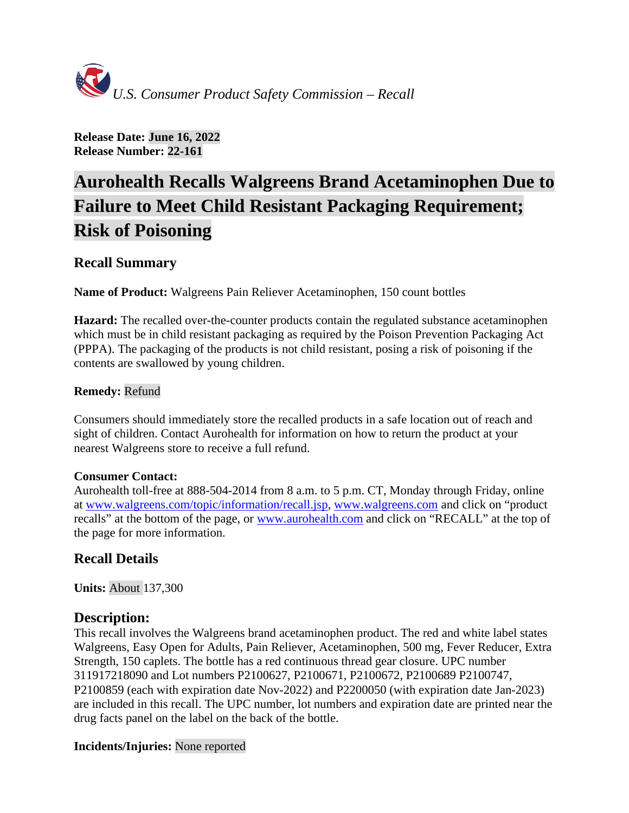

**Release Date: June 16, 2022 Release Number: 22-161**

# **Aurohealth Recalls Walgreens Brand Acetaminophen Due to Failure to Meet Child Resistant Packaging Requirement; Risk of Poisoning**

# **Recall Summary**

**Name of Product:** Walgreens Pain Reliever Acetaminophen, 150 count bottles

**Hazard:** The recalled over-the-counter products contain the regulated substance acetaminophen which must be in child resistant packaging as required by the Poison Prevention Packaging Act (PPPA). The packaging of the products is not child resistant, posing a risk of poisoning if the contents are swallowed by young children.

# **Remedy:** Refund

Consumers should immediately store the recalled products in a safe location out of reach and sight of children. Contact Aurohealth for information on how to return the product at your nearest Walgreens store to receive a full refund.

#### **Consumer Contact:**

Aurohealth toll-free at 888-504-2014 from 8 a.m. to 5 p.m. CT, Monday through Friday, online at [www.walgreens.com/topic/information/recall.jsp,](http://www.walgreens.com/topic/information/recall.jsp) [www.walgreens.com](http://www.walgreens.com/) and click on "product recalls" at the bottom of the page, or [www.aurohealth.com](http://www.aurohealth.com/) and click on "RECALL" at the top of the page for more information.

# **Recall Details**

**Units:** About 137,300

# **Description:**

This recall involves the Walgreens brand acetaminophen product. The red and white label states Walgreens, Easy Open for Adults, Pain Reliever, Acetaminophen, 500 mg, Fever Reducer, Extra Strength, 150 caplets. The bottle has a red continuous thread gear closure. UPC number 311917218090 and Lot numbers P2100627, P2100671, P2100672, P2100689 P2100747, P2100859 (each with expiration date Nov-2022) and P2200050 (with expiration date Jan-2023) are included in this recall. The UPC number, lot numbers and expiration date are printed near the drug facts panel on the label on the back of the bottle.

#### **Incidents/Injuries:** None reported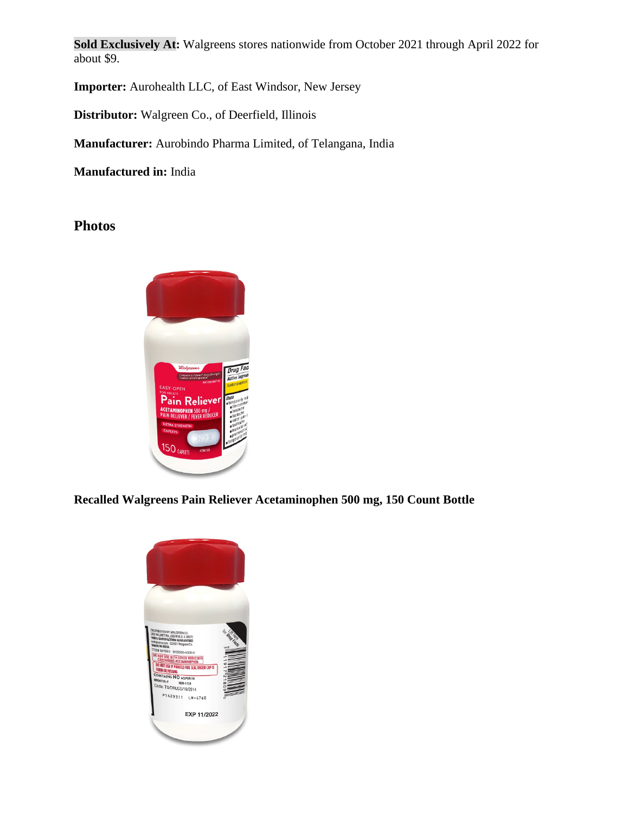**Sold Exclusively At:** Walgreens stores nationwide from October 2021 through April 2022 for about \$9.

**Importer:** Aurohealth LLC, of East Windsor, New Jersey

**Distributor:** Walgreen Co., of Deerfield, Illinois

**Manufacturer:** Aurobindo Pharma Limited, of Telangana, India

**Manufactured in:** India

**Photos**



**Recalled Walgreens Pain Reliever Acetaminophen 500 mg, 150 Count Bottle**